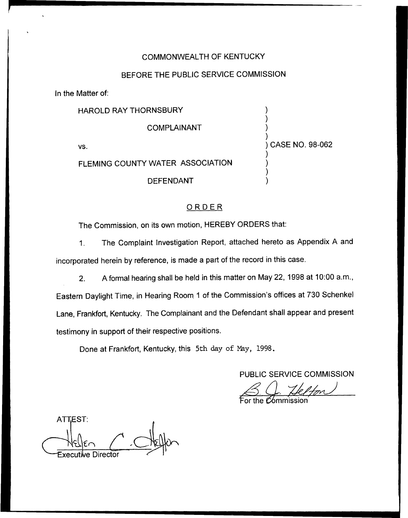# COMMONWEALTH OF KENTUCKY

## BEFORE THE PUBLIC SERVICE COMMISSION

In the Matter of:

| HAROLD RAY THORNSBURY            |                   |
|----------------------------------|-------------------|
| <b>COMPLAINANT</b>               |                   |
| VS.                              | ) CASE NO. 98-062 |
| FLEMING COUNTY WATER ASSOCIATION |                   |
| <b>DEFENDANT</b>                 |                   |

# ORDER<sub></sub>

The Commission, on its own motion, HEREBY ORDERS that:

1. The Complaint Investigation Report, attached hereto as Appendix <sup>A</sup> and incorporated herein by reference, is made a part of the record in this case.

2. A formal hearing shall be held in this matter on May 22, 1998 at 10:00 a.m., Eastern Daylight Time, in Hearing Room <sup>1</sup> of the Commission's offices at 730 Schenkel Lane, Frankfort, Kentucky. The Complainant and the Defendant shall appear and present

testimony in support of their respective positions.

Done at Frankfort, Kentucky, this 5th day of Nay, 1998.

PUBLIC SERVICE COMMISSION

VUBLIC SERVICE COMMI<br>
Subsettle The Commission

For the *Commission* 

**ATTEST:** Executive Director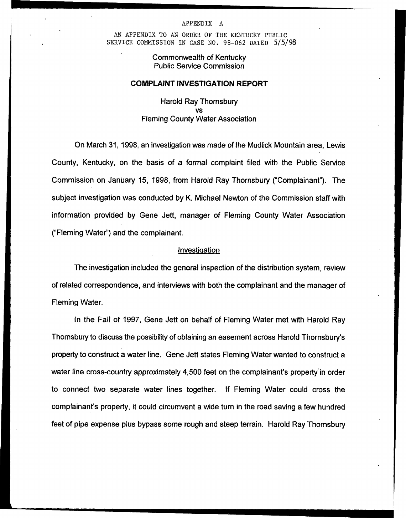#### APPENDIX A

AN APPENDIX TO AN ORDER OF THE KENTUCKY PUBLIC SERVICE COMMISSION IN CASE NO. 98-062 DATED 5/5/98

> Commonwealth of Kentucky Public Service Commission

### COMPLAINT INVESTIGATION REPORT

Harold Ray Thornsbury vs Fleming County Water Association

On March 31, 1998, an investigation was made of the Mudlick Mountain area, Lewis County, Kentucky, on the basis of a formal complaint filed with the Public Service Commission on January 15, 1998, from Harold Ray Thornsbury ("Complainant"). The subject investigation was conducted by K. Michael Newton of the Commission staff with information provided by Gene Jett, manager of Fleming County Water Association ("Fleming Water\*') and the complainant.

#### **Investigation**

The investigation included the general inspection of the distribution system, review of related correspondence, and interviews with both the complainant and the manager of Fleming Water.

In the Fall of 1997, Gene Jett on behalf of Fleming Water met with Harold Ray Thornsbury to discuss the possibility of obtaining an easement across Harold Thornsbury's property to construct a water line. Gene Jett states Fleming Water wanted to construct a water line cross-country approximately 4,500 feet on the complainant's property in order to connect two separate water lines together. If Fleming Water could cross the complainant's property, it could circumvent a wide turn in the road saving a few hundred feet of pipe expense plus bypass some rough and steep terrain. Harold Ray Thornsbury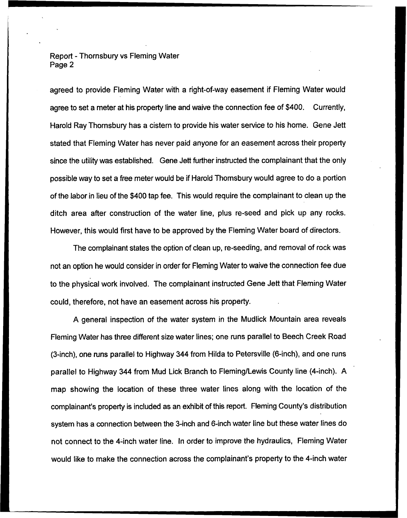Report - Thornsbury vs Fleming Water Page 2

agreed to provide Fleming Water with a right-of-way easement if Fleming Water would agree to set a meter at his property line and waive the connection fee of \$400. Currently, Harold Ray Thornsbury has a cistern to provide his water service to his home. Gene Jett stated that Fleming Water has never paid anyone for an easement across their property since the utility was established. Gene Jett further instructed the complainant that the only possible way to set a free meter would be if Harold Thomsbury would agree to do a portion of the labor in lieu of the \$400 tap fee. This would require the complainant to clean up the ditch area after construction of the water line, plus re-seed and pick up any rocks. However, this would first have to be approved by the Fleming Water board of directors.

The complainant states the option of clean up, re-seeding, and removal of rock was not an option he would consider in order for Fleming VVater to waive the connection fee due to the physical work involved. The complainant instructed Gene Jett that Fleming Water could, therefore, not have an easement across his property.

A general inspection of the water system in the Mudlick Mountain area reveals Fleming Water has three different size water lines; one runs parallel to Beech Creek Road (3-inch), one runs parallel to Highway 344 from Hilda to Petersville (6-inch), and one runs parallel to Highway 344 from Mud Lick Branch to Fleming/Lewis County line (4-inch). A map showing the location of these three water lines along with the location of the complainant's property is included as an exhibit of this report. Fleming County's distribution system has a connection between the 3-inch and 6-inch water line but these water lines do not connect to the 4-inch water line. In order to improve the hydraulics, Fleming Water would like to make the connection across the complainant's property to the 4-inch water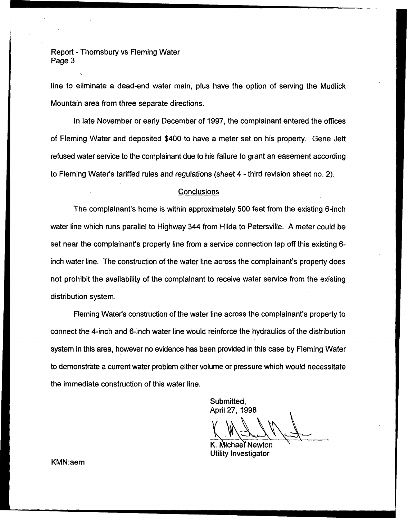Report - Thornsbury vs Fleming Water Page 3

line to eliminate a dead-end water main, plus have the option of serving the Mudlick Mountain area from three separate directions.

In late November or early December of 1997, the complainant entered the offices of Fleming Water and deposited \$400 to have a meter set on his property. Gene Jett refused water service to the complainant due to his failure to grant an easement according to Fleming Water's tariffed rules and regulations (sheet 4 - third revision sheet no. 2).

## **Conclusions**

The complainant's home is within approximately 500 feet from the existing 6-inch water line which runs parallel to Highway 344 from Hilda to Petersville. A meter could be set near the complainant's property line from a service connection tap off this existing 6 inch water line. The construction of the water line across the complainant's property does not prohibit the availability of the complainant to receive water service from the existing distribution system.

Fleming Water's construction of the water line across the complainant's property to connect the 4-inch and 6-inch water line would reinforce the hydraulics of the distribution system in this area, however no evidence has been provided in this case by Fleming Water to demonstrate a current water problem either volume or pressure which would necessitate the immediate construction of this water line.

Submitted, April 27, 19

K. Michael Newton Utility Investigator

KMN:aem